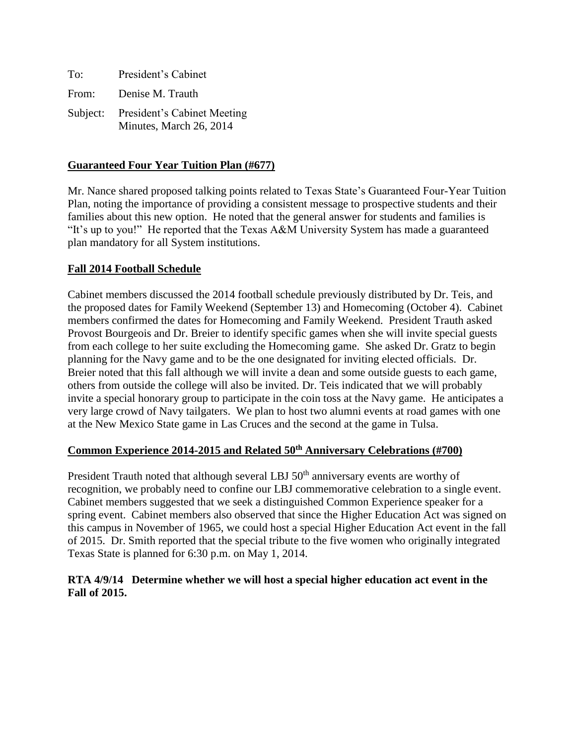| To:      | President's Cabinet                                           |
|----------|---------------------------------------------------------------|
| From:    | Denise M. Trauth                                              |
| Subject: | <b>President's Cabinet Meeting</b><br>Minutes, March 26, 2014 |

## **Guaranteed Four Year Tuition Plan (#677)**

Mr. Nance shared proposed talking points related to Texas State's Guaranteed Four-Year Tuition Plan, noting the importance of providing a consistent message to prospective students and their families about this new option. He noted that the general answer for students and families is "It's up to you!" He reported that the Texas A&M University System has made a guaranteed plan mandatory for all System institutions.

## **Fall 2014 Football Schedule**

Cabinet members discussed the 2014 football schedule previously distributed by Dr. Teis, and the proposed dates for Family Weekend (September 13) and Homecoming (October 4). Cabinet members confirmed the dates for Homecoming and Family Weekend. President Trauth asked Provost Bourgeois and Dr. Breier to identify specific games when she will invite special guests from each college to her suite excluding the Homecoming game. She asked Dr. Gratz to begin planning for the Navy game and to be the one designated for inviting elected officials. Dr. Breier noted that this fall although we will invite a dean and some outside guests to each game, others from outside the college will also be invited. Dr. Teis indicated that we will probably invite a special honorary group to participate in the coin toss at the Navy game. He anticipates a very large crowd of Navy tailgaters. We plan to host two alumni events at road games with one at the New Mexico State game in Las Cruces and the second at the game in Tulsa.

### **Common Experience 2014-2015 and Related 50th Anniversary Celebrations (#700)**

President Trauth noted that although several LBJ 50<sup>th</sup> anniversary events are worthy of recognition, we probably need to confine our LBJ commemorative celebration to a single event. Cabinet members suggested that we seek a distinguished Common Experience speaker for a spring event. Cabinet members also observed that since the Higher Education Act was signed on this campus in November of 1965, we could host a special Higher Education Act event in the fall of 2015. Dr. Smith reported that the special tribute to the five women who originally integrated Texas State is planned for 6:30 p.m. on May 1, 2014.

## **RTA 4/9/14 Determine whether we will host a special higher education act event in the Fall of 2015.**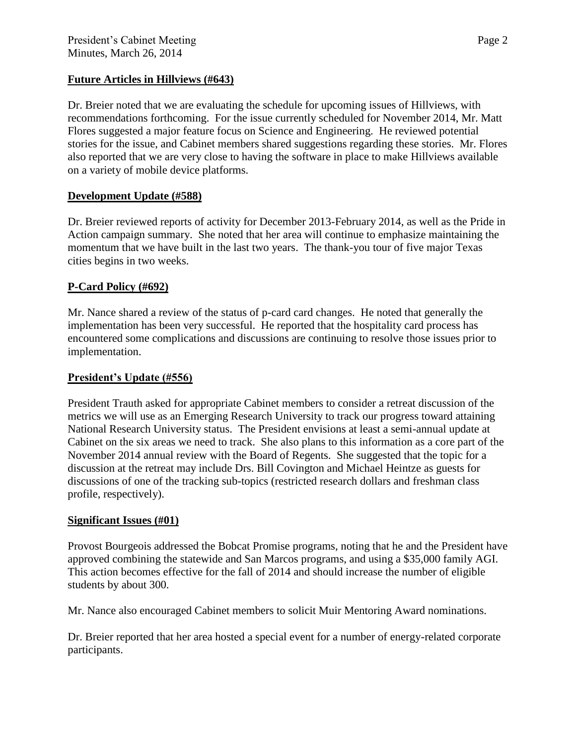## **Future Articles in Hillviews (#643)**

Dr. Breier noted that we are evaluating the schedule for upcoming issues of Hillviews, with recommendations forthcoming. For the issue currently scheduled for November 2014, Mr. Matt Flores suggested a major feature focus on Science and Engineering. He reviewed potential stories for the issue, and Cabinet members shared suggestions regarding these stories. Mr. Flores also reported that we are very close to having the software in place to make Hillviews available on a variety of mobile device platforms.

# **Development Update (#588)**

Dr. Breier reviewed reports of activity for December 2013-February 2014, as well as the Pride in Action campaign summary. She noted that her area will continue to emphasize maintaining the momentum that we have built in the last two years. The thank-you tour of five major Texas cities begins in two weeks.

## **P-Card Policy (#692)**

Mr. Nance shared a review of the status of p-card card changes. He noted that generally the implementation has been very successful. He reported that the hospitality card process has encountered some complications and discussions are continuing to resolve those issues prior to implementation.

### **President's Update (#556)**

President Trauth asked for appropriate Cabinet members to consider a retreat discussion of the metrics we will use as an Emerging Research University to track our progress toward attaining National Research University status. The President envisions at least a semi-annual update at Cabinet on the six areas we need to track. She also plans to this information as a core part of the November 2014 annual review with the Board of Regents. She suggested that the topic for a discussion at the retreat may include Drs. Bill Covington and Michael Heintze as guests for discussions of one of the tracking sub-topics (restricted research dollars and freshman class profile, respectively).

### **Significant Issues (#01)**

Provost Bourgeois addressed the Bobcat Promise programs, noting that he and the President have approved combining the statewide and San Marcos programs, and using a \$35,000 family AGI. This action becomes effective for the fall of 2014 and should increase the number of eligible students by about 300.

Mr. Nance also encouraged Cabinet members to solicit Muir Mentoring Award nominations.

Dr. Breier reported that her area hosted a special event for a number of energy-related corporate participants.